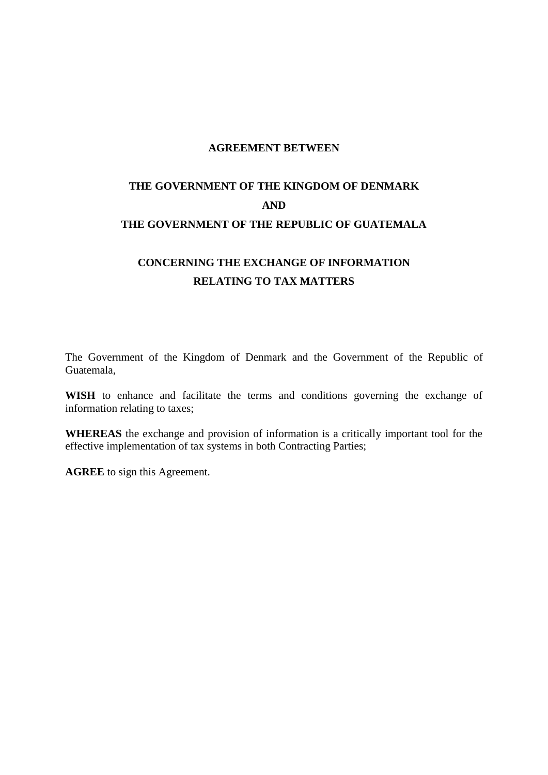#### **AGREEMENT BETWEEN**

# **THE GOVERNMENT OF THE KINGDOM OF DENMARK AND THE GOVERNMENT OF THE REPUBLIC OF GUATEMALA**

# **CONCERNING THE EXCHANGE OF INFORMATION RELATING TO TAX MATTERS**

The Government of the Kingdom of Denmark and the Government of the Republic of Guatemala,

**WISH** to enhance and facilitate the terms and conditions governing the exchange of information relating to taxes;

**WHEREAS** the exchange and provision of information is a critically important tool for the effective implementation of tax systems in both Contracting Parties;

**AGREE** to sign this Agreement.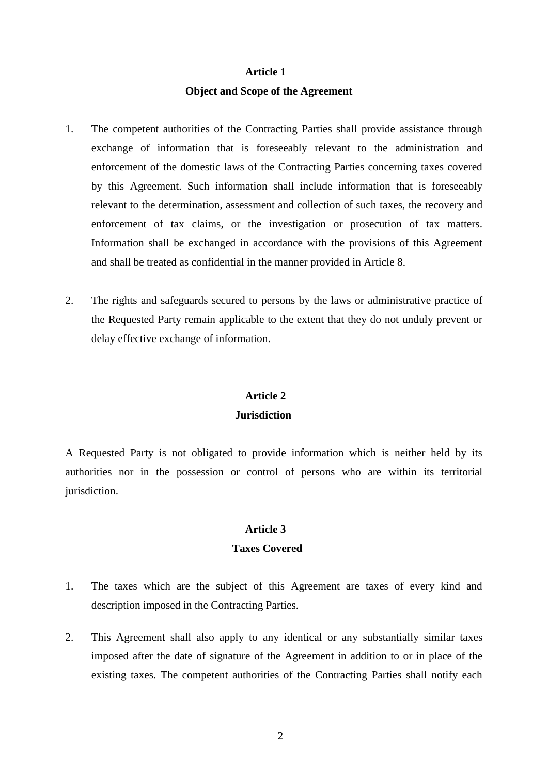#### **Article 1**

#### **Object and Scope of the Agreement**

- 1. The competent authorities of the Contracting Parties shall provide assistance through exchange of information that is foreseeably relevant to the administration and enforcement of the domestic laws of the Contracting Parties concerning taxes covered by this Agreement. Such information shall include information that is foreseeably relevant to the determination, assessment and collection of such taxes, the recovery and enforcement of tax claims, or the investigation or prosecution of tax matters. Information shall be exchanged in accordance with the provisions of this Agreement and shall be treated as confidential in the manner provided in Article 8.
- 2. The rights and safeguards secured to persons by the laws or administrative practice of the Requested Party remain applicable to the extent that they do not unduly prevent or delay effective exchange of information.

#### **Article 2**

#### **Jurisdiction**

A Requested Party is not obligated to provide information which is neither held by its authorities nor in the possession or control of persons who are within its territorial jurisdiction.

# **Article 3**

#### **Taxes Covered**

- 1. The taxes which are the subject of this Agreement are taxes of every kind and description imposed in the Contracting Parties.
- 2. This Agreement shall also apply to any identical or any substantially similar taxes imposed after the date of signature of the Agreement in addition to or in place of the existing taxes. The competent authorities of the Contracting Parties shall notify each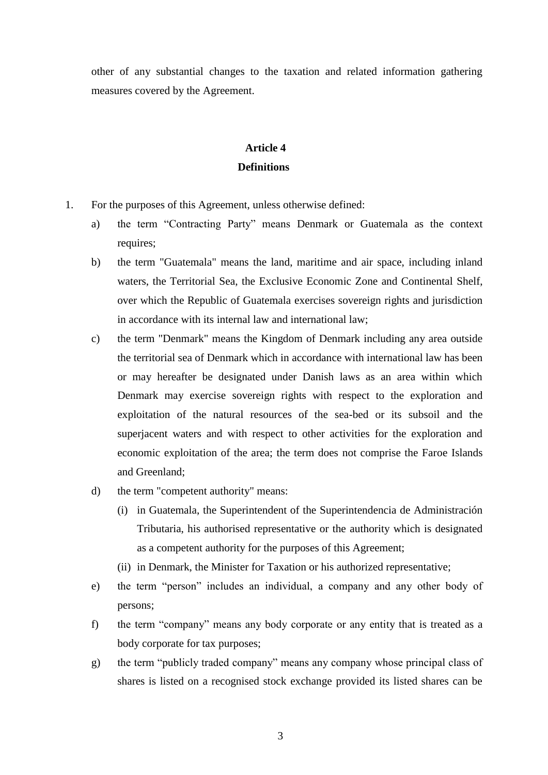other of any substantial changes to the taxation and related information gathering measures covered by the Agreement.

### **Article 4 Definitions**

- 1. For the purposes of this Agreement, unless otherwise defined:
	- a) the term "Contracting Party" means Denmark or Guatemala as the context requires;
	- b) the term "Guatemala" means the land, maritime and air space, including inland waters, the Territorial Sea, the Exclusive Economic Zone and Continental Shelf, over which the Republic of Guatemala exercises sovereign rights and jurisdiction in accordance with its internal law and international law;
	- c) the term "Denmark" means the Kingdom of Denmark including any area outside the territorial sea of Denmark which in accordance with international law has been or may hereafter be designated under Danish laws as an area within which Denmark may exercise sovereign rights with respect to the exploration and exploitation of the natural resources of the sea-bed or its subsoil and the superjacent waters and with respect to other activities for the exploration and economic exploitation of the area; the term does not comprise the Faroe Islands and Greenland;
	- d) the term "competent authority" means:
		- (i) in Guatemala, the Superintendent of the Superintendencia de Administración Tributaria, his authorised representative or the authority which is designated as a competent authority for the purposes of this Agreement;
		- (ii) in Denmark, the Minister for Taxation or his authorized representative;
	- e) the term "person" includes an individual, a company and any other body of persons;
	- f) the term "company" means any body corporate or any entity that is treated as a body corporate for tax purposes;
	- g) the term "publicly traded company" means any company whose principal class of shares is listed on a recognised stock exchange provided its listed shares can be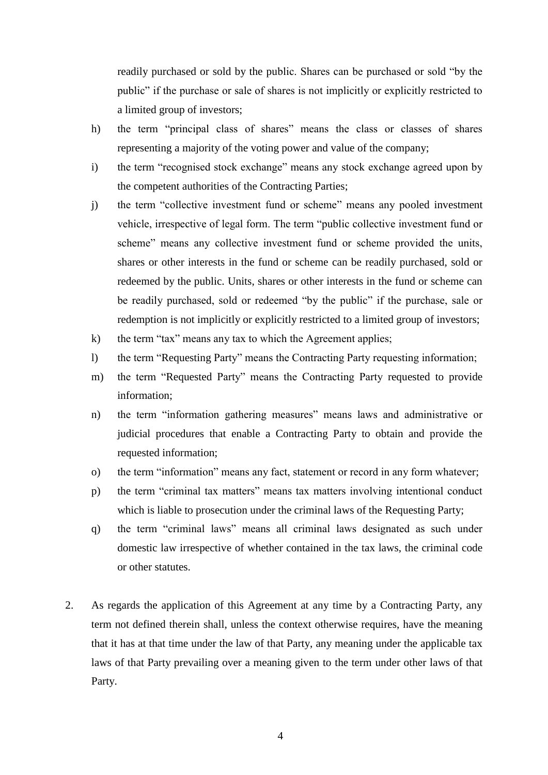readily purchased or sold by the public. Shares can be purchased or sold "by the public" if the purchase or sale of shares is not implicitly or explicitly restricted to a limited group of investors;

- h) the term "principal class of shares" means the class or classes of shares representing a majority of the voting power and value of the company;
- i) the term "recognised stock exchange" means any stock exchange agreed upon by the competent authorities of the Contracting Parties;
- j) the term "collective investment fund or scheme" means any pooled investment vehicle, irrespective of legal form. The term "public collective investment fund or scheme" means any collective investment fund or scheme provided the units, shares or other interests in the fund or scheme can be readily purchased, sold or redeemed by the public. Units, shares or other interests in the fund or scheme can be readily purchased, sold or redeemed "by the public" if the purchase, sale or redemption is not implicitly or explicitly restricted to a limited group of investors;
- k) the term "tax" means any tax to which the Agreement applies;
- l) the term "Requesting Party" means the Contracting Party requesting information;
- m) the term "Requested Party" means the Contracting Party requested to provide information;
- n) the term "information gathering measures" means laws and administrative or judicial procedures that enable a Contracting Party to obtain and provide the requested information;
- o) the term "information" means any fact, statement or record in any form whatever;
- p) the term "criminal tax matters" means tax matters involving intentional conduct which is liable to prosecution under the criminal laws of the Requesting Party;
- q) the term "criminal laws" means all criminal laws designated as such under domestic law irrespective of whether contained in the tax laws, the criminal code or other statutes.
- 2. As regards the application of this Agreement at any time by a Contracting Party, any term not defined therein shall, unless the context otherwise requires, have the meaning that it has at that time under the law of that Party, any meaning under the applicable tax laws of that Party prevailing over a meaning given to the term under other laws of that Party.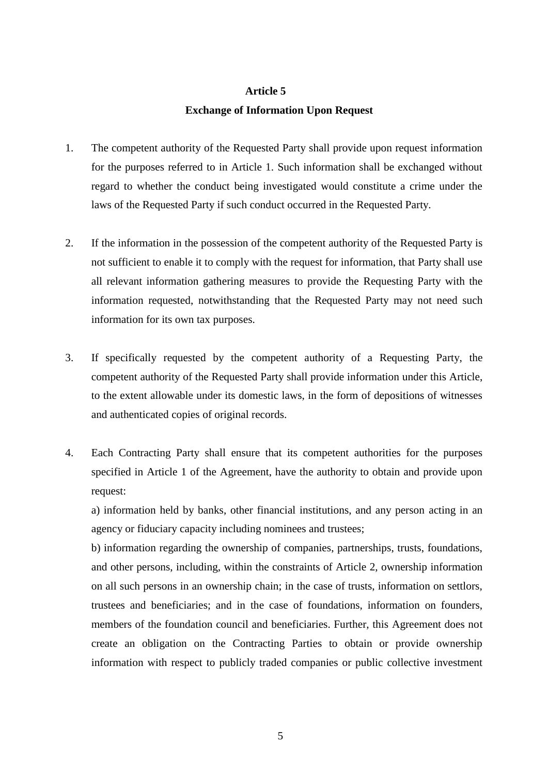#### **Article 5**

#### **Exchange of Information Upon Request**

- 1. The competent authority of the Requested Party shall provide upon request information for the purposes referred to in Article 1. Such information shall be exchanged without regard to whether the conduct being investigated would constitute a crime under the laws of the Requested Party if such conduct occurred in the Requested Party.
- 2. If the information in the possession of the competent authority of the Requested Party is not sufficient to enable it to comply with the request for information, that Party shall use all relevant information gathering measures to provide the Requesting Party with the information requested, notwithstanding that the Requested Party may not need such information for its own tax purposes.
- 3. If specifically requested by the competent authority of a Requesting Party, the competent authority of the Requested Party shall provide information under this Article, to the extent allowable under its domestic laws, in the form of depositions of witnesses and authenticated copies of original records.
- 4. Each Contracting Party shall ensure that its competent authorities for the purposes specified in Article 1 of the Agreement, have the authority to obtain and provide upon request:

a) information held by banks, other financial institutions, and any person acting in an agency or fiduciary capacity including nominees and trustees;

b) information regarding the ownership of companies, partnerships, trusts, foundations, and other persons, including, within the constraints of Article 2, ownership information on all such persons in an ownership chain; in the case of trusts, information on settlors, trustees and beneficiaries; and in the case of foundations, information on founders, members of the foundation council and beneficiaries. Further, this Agreement does not create an obligation on the Contracting Parties to obtain or provide ownership information with respect to publicly traded companies or public collective investment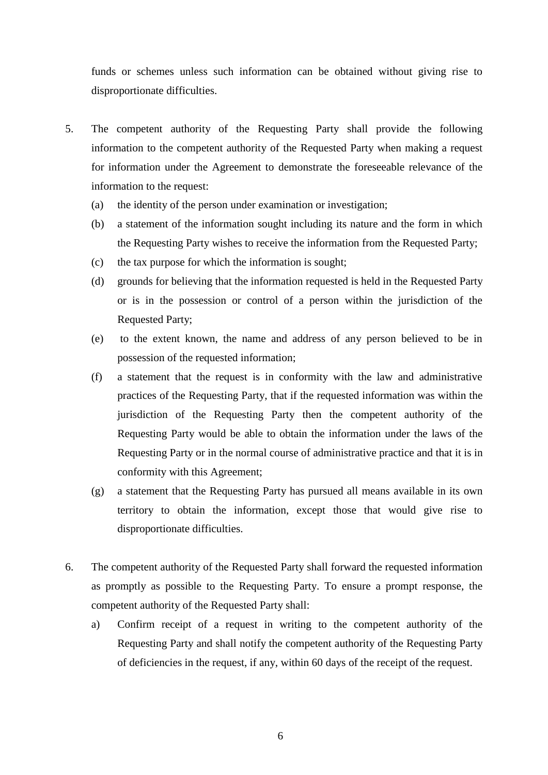funds or schemes unless such information can be obtained without giving rise to disproportionate difficulties.

- 5. The competent authority of the Requesting Party shall provide the following information to the competent authority of the Requested Party when making a request for information under the Agreement to demonstrate the foreseeable relevance of the information to the request:
	- (a) the identity of the person under examination or investigation;
	- (b) a statement of the information sought including its nature and the form in which the Requesting Party wishes to receive the information from the Requested Party;
	- (c) the tax purpose for which the information is sought;
	- (d) grounds for believing that the information requested is held in the Requested Party or is in the possession or control of a person within the jurisdiction of the Requested Party;
	- (e) to the extent known, the name and address of any person believed to be in possession of the requested information;
	- (f) a statement that the request is in conformity with the law and administrative practices of the Requesting Party, that if the requested information was within the jurisdiction of the Requesting Party then the competent authority of the Requesting Party would be able to obtain the information under the laws of the Requesting Party or in the normal course of administrative practice and that it is in conformity with this Agreement;
	- (g) a statement that the Requesting Party has pursued all means available in its own territory to obtain the information, except those that would give rise to disproportionate difficulties.
- 6. The competent authority of the Requested Party shall forward the requested information as promptly as possible to the Requesting Party. To ensure a prompt response, the competent authority of the Requested Party shall:
	- a) Confirm receipt of a request in writing to the competent authority of the Requesting Party and shall notify the competent authority of the Requesting Party of deficiencies in the request, if any, within 60 days of the receipt of the request.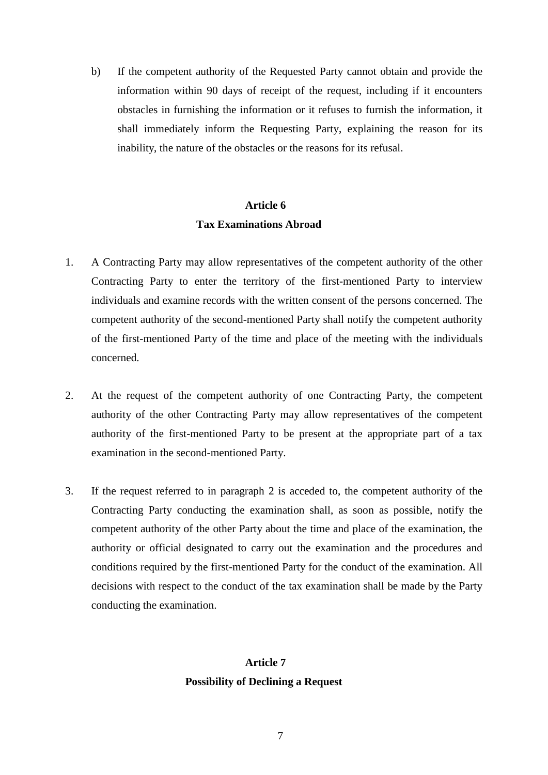b) If the competent authority of the Requested Party cannot obtain and provide the information within 90 days of receipt of the request, including if it encounters obstacles in furnishing the information or it refuses to furnish the information, it shall immediately inform the Requesting Party, explaining the reason for its inability, the nature of the obstacles or the reasons for its refusal.

### **Article 6 Tax Examinations Abroad**

- 1. A Contracting Party may allow representatives of the competent authority of the other Contracting Party to enter the territory of the first-mentioned Party to interview individuals and examine records with the written consent of the persons concerned. The competent authority of the second-mentioned Party shall notify the competent authority of the first-mentioned Party of the time and place of the meeting with the individuals concerned.
- 2. At the request of the competent authority of one Contracting Party, the competent authority of the other Contracting Party may allow representatives of the competent authority of the first-mentioned Party to be present at the appropriate part of a tax examination in the second-mentioned Party.
- 3. If the request referred to in paragraph 2 is acceded to, the competent authority of the Contracting Party conducting the examination shall, as soon as possible, notify the competent authority of the other Party about the time and place of the examination, the authority or official designated to carry out the examination and the procedures and conditions required by the first-mentioned Party for the conduct of the examination. All decisions with respect to the conduct of the tax examination shall be made by the Party conducting the examination.

### **Article 7 Possibility of Declining a Request**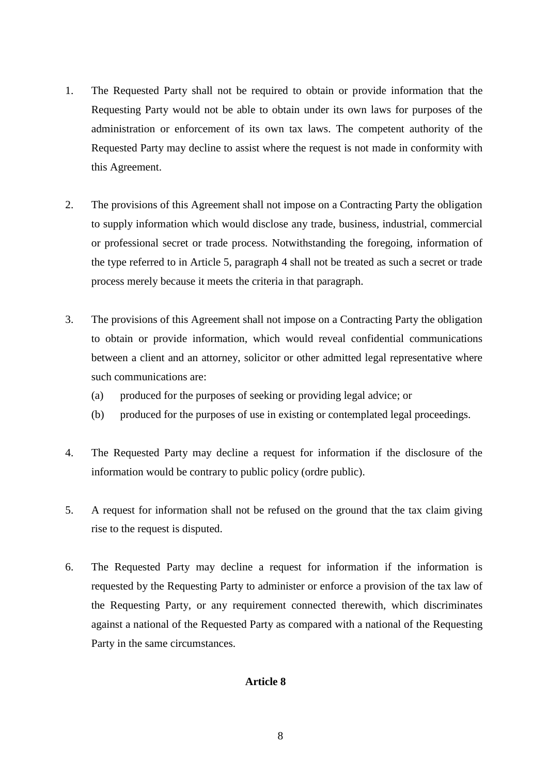- 1. The Requested Party shall not be required to obtain or provide information that the Requesting Party would not be able to obtain under its own laws for purposes of the administration or enforcement of its own tax laws. The competent authority of the Requested Party may decline to assist where the request is not made in conformity with this Agreement.
- 2. The provisions of this Agreement shall not impose on a Contracting Party the obligation to supply information which would disclose any trade, business, industrial, commercial or professional secret or trade process. Notwithstanding the foregoing, information of the type referred to in Article 5, paragraph 4 shall not be treated as such a secret or trade process merely because it meets the criteria in that paragraph.
- 3. The provisions of this Agreement shall not impose on a Contracting Party the obligation to obtain or provide information, which would reveal confidential communications between a client and an attorney, solicitor or other admitted legal representative where such communications are:
	- (a) produced for the purposes of seeking or providing legal advice; or
	- (b) produced for the purposes of use in existing or contemplated legal proceedings.
- 4. The Requested Party may decline a request for information if the disclosure of the information would be contrary to public policy (ordre public).
- 5. A request for information shall not be refused on the ground that the tax claim giving rise to the request is disputed.
- 6. The Requested Party may decline a request for information if the information is requested by the Requesting Party to administer or enforce a provision of the tax law of the Requesting Party, or any requirement connected therewith, which discriminates against a national of the Requested Party as compared with a national of the Requesting Party in the same circumstances.

#### **Article 8**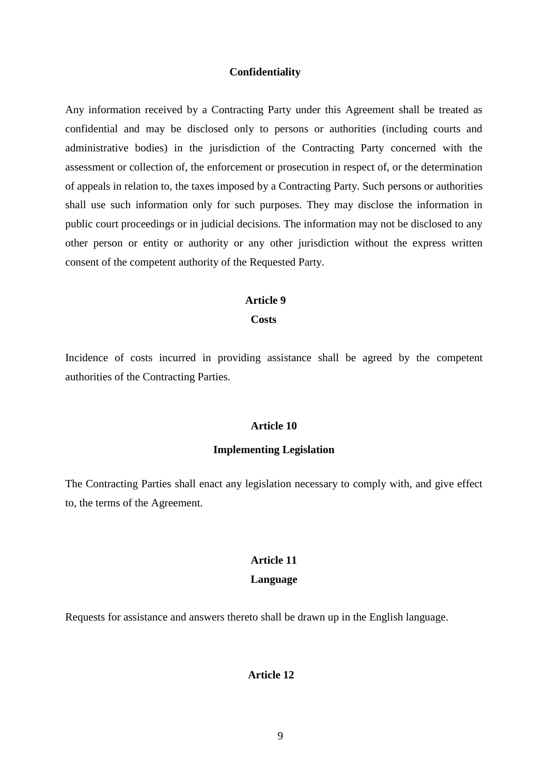#### **Confidentiality**

Any information received by a Contracting Party under this Agreement shall be treated as confidential and may be disclosed only to persons or authorities (including courts and administrative bodies) in the jurisdiction of the Contracting Party concerned with the assessment or collection of, the enforcement or prosecution in respect of, or the determination of appeals in relation to, the taxes imposed by a Contracting Party. Such persons or authorities shall use such information only for such purposes. They may disclose the information in public court proceedings or in judicial decisions. The information may not be disclosed to any other person or entity or authority or any other jurisdiction without the express written consent of the competent authority of the Requested Party.

#### **Article 9**

 **Costs**

Incidence of costs incurred in providing assistance shall be agreed by the competent authorities of the Contracting Parties.

#### **Article 10**

#### **Implementing Legislation**

The Contracting Parties shall enact any legislation necessary to comply with, and give effect to, the terms of the Agreement.

#### **Article 11**

#### **Language**

Requests for assistance and answers thereto shall be drawn up in the English language.

#### **Article 12**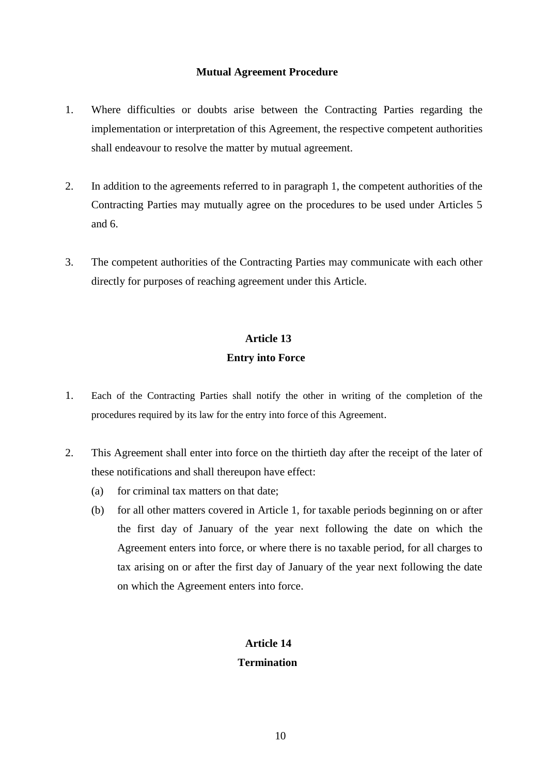#### **Mutual Agreement Procedure**

- 1. Where difficulties or doubts arise between the Contracting Parties regarding the implementation or interpretation of this Agreement, the respective competent authorities shall endeavour to resolve the matter by mutual agreement.
- 2. In addition to the agreements referred to in paragraph 1, the competent authorities of the Contracting Parties may mutually agree on the procedures to be used under Articles 5 and 6.
- 3. The competent authorities of the Contracting Parties may communicate with each other directly for purposes of reaching agreement under this Article.

### **Article 13 Entry into Force**

- 1. Each of the Contracting Parties shall notify the other in writing of the completion of the procedures required by its law for the entry into force of this Agreement.
- 2. This Agreement shall enter into force on the thirtieth day after the receipt of the later of these notifications and shall thereupon have effect:
	- (a) for criminal tax matters on that date;
	- (b) for all other matters covered in Article 1, for taxable periods beginning on or after the first day of January of the year next following the date on which the Agreement enters into force, or where there is no taxable period, for all charges to tax arising on or after the first day of January of the year next following the date on which the Agreement enters into force.

### **Article 14 Termination**